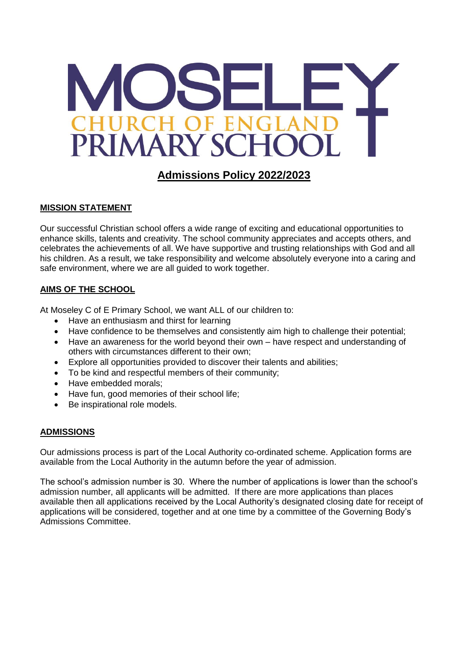

# **Admissions Policy 2022/2023**

### **MISSION STATEMENT**

Our successful Christian school offers a wide range of exciting and educational opportunities to enhance skills, talents and creativity. The school community appreciates and accepts others, and celebrates the achievements of all. We have supportive and trusting relationships with God and all his children. As a result, we take responsibility and welcome absolutely everyone into a caring and safe environment, where we are all guided to work together.

### **AIMS OF THE SCHOOL**

At Moseley C of E Primary School, we want ALL of our children to:

- Have an enthusiasm and thirst for learning
- Have confidence to be themselves and consistently aim high to challenge their potential;
- Have an awareness for the world beyond their own have respect and understanding of others with circumstances different to their own;
- Explore all opportunities provided to discover their talents and abilities;
- To be kind and respectful members of their community;
- Have embedded morals:
- Have fun, good memories of their school life;
- Be inspirational role models.

#### **ADMISSIONS**

Our admissions process is part of the Local Authority co-ordinated scheme. Application forms are available from the Local Authority in the autumn before the year of admission.

The school's admission number is 30. Where the number of applications is lower than the school's admission number, all applicants will be admitted. If there are more applications than places available then all applications received by the Local Authority's designated closing date for receipt of applications will be considered, together and at one time by a committee of the Governing Body's Admissions Committee.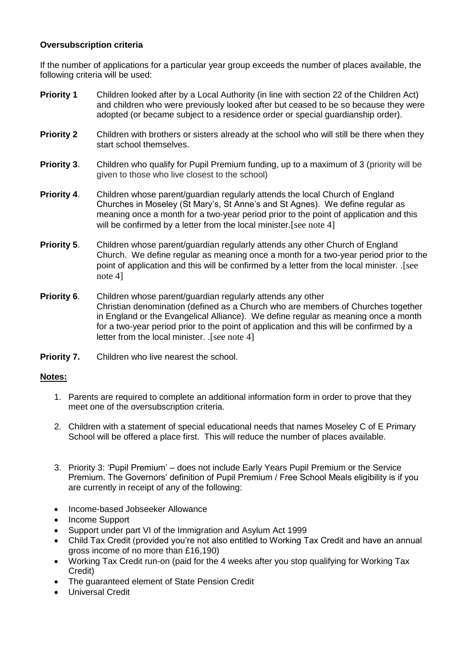#### **Oversubscription criteria**

If the number of applications for a particular year group exceeds the number of places available, the following criteria will be used:

- **Priority 1** Children looked after by a Local Authority (in line with section 22 of the Children Act) and children who were previously looked after but ceased to be so because they were adopted (or became subject to a residence order or special guardianship order).
- **Priority 2** Children with brothers or sisters already at the school who will still be there when they start school themselves.
- **Priority 3.** Children who qualify for Pupil Premium funding, up to a maximum of 3 (priority will be given to those who live closest to the school)
- **Priority 4**. Children whose parent/guardian regularly attends the local Church of England Churches in Moseley (St Mary's, St Anne's and St Agnes). We define regular as meaning once a month for a two-year period prior to the point of application and this will be confirmed by a letter from the local minister. [see note 4]
- **Priority 5**. Children whose parent/guardian regularly attends any other Church of England Church. We define regular as meaning once a month for a two-year period prior to the point of application and this will be confirmed by a letter from the local minister. .[see note 4]
- **Priority 6.** Children whose parent/guardian regularly attends any other Christian denomination (defined as a Church who are members of Churches together in England or the Evangelical Alliance). We define regular as meaning once a month for a two-year period prior to the point of application and this will be confirmed by a letter from the local minister. .[see note 4]
- **Priority 7.** Children who live nearest the school.

## **Notes:**

- 1. Parents are required to complete an additional information form in order to prove that they meet one of the oversubscription criteria.
- 2. Children with a statement of special educational needs that names Moseley C of E Primary School will be offered a place first. This will reduce the number of places available.
- 3. Priority 3: 'Pupil Premium' does not include Early Years Pupil Premium or the Service Premium. The Governors' definition of Pupil Premium / Free School Meals eligibility is if you are currently in receipt of any of the following:
- Income-based Jobseeker Allowance
- Income Support
- Support under part VI of the Immigration and Asylum Act 1999
- Child Tax Credit (provided you're not also entitled to Working Tax Credit and have an annual gross income of no more than £16,190)
- Working Tax Credit run-on (paid for the 4 weeks after you stop qualifying for Working Tax Credit)
- The guaranteed element of State Pension Credit
- Universal Credit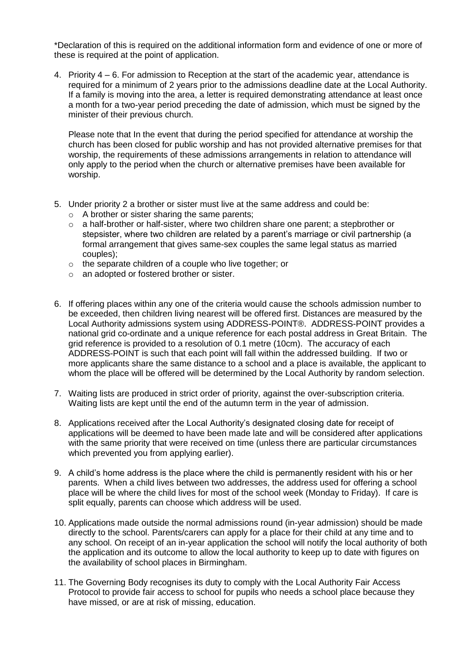\*Declaration of this is required on the additional information form and evidence of one or more of these is required at the point of application.

4. Priority 4 – 6. For admission to Reception at the start of the academic year, attendance is required for a minimum of 2 years prior to the admissions deadline date at the Local Authority. If a family is moving into the area, a letter is required demonstrating attendance at least once a month for a two-year period preceding the date of admission, which must be signed by the minister of their previous church.

Please note that In the event that during the period specified for attendance at worship the church has been closed for public worship and has not provided alternative premises for that worship, the requirements of these admissions arrangements in relation to attendance will only apply to the period when the church or alternative premises have been available for worship.

- 5. Under priority 2 a brother or sister must live at the same address and could be:
	- o A brother or sister sharing the same parents;
	- o a half-brother or half-sister, where two children share one parent; a stepbrother or stepsister, where two children are related by a parent's marriage or civil partnership (a formal arrangement that gives same-sex couples the same legal status as married couples);
	- o the separate children of a couple who live together; or
	- o an adopted or fostered brother or sister.
- 6. If offering places within any one of the criteria would cause the schools admission number to be exceeded, then children living nearest will be offered first. Distances are measured by the Local Authority admissions system using ADDRESS-POINT®. ADDRESS-POINT provides a national grid co-ordinate and a unique reference for each postal address in Great Britain. The grid reference is provided to a resolution of 0.1 metre (10cm). The accuracy of each ADDRESS-POINT is such that each point will fall within the addressed building. If two or more applicants share the same distance to a school and a place is available, the applicant to whom the place will be offered will be determined by the Local Authority by random selection.
- 7. Waiting lists are produced in strict order of priority, against the over-subscription criteria. Waiting lists are kept until the end of the autumn term in the year of admission.
- 8. Applications received after the Local Authority's designated closing date for receipt of applications will be deemed to have been made late and will be considered after applications with the same priority that were received on time (unless there are particular circumstances which prevented you from applying earlier).
- 9. A child's home address is the place where the child is permanently resident with his or her parents. When a child lives between two addresses, the address used for offering a school place will be where the child lives for most of the school week (Monday to Friday). If care is split equally, parents can choose which address will be used.
- 10. Applications made outside the normal admissions round (in-year admission) should be made directly to the school. Parents/carers can apply for a place for their child at any time and to any school. On receipt of an in-year application the school will notify the local authority of both the application and its outcome to allow the local authority to keep up to date with figures on the availability of school places in Birmingham.
- 11. The Governing Body recognises its duty to comply with the Local Authority Fair Access Protocol to provide fair access to school for pupils who needs a school place because they have missed, or are at risk of missing, education.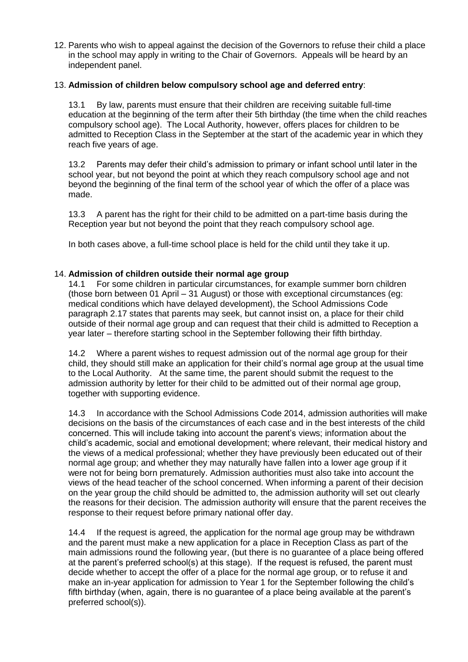12. Parents who wish to appeal against the decision of the Governors to refuse their child a place in the school may apply in writing to the Chair of Governors. Appeals will be heard by an independent panel.

#### 13. **Admission of children below compulsory school age and deferred entry**:

13.1 By law, parents must ensure that their children are receiving suitable full-time education at the beginning of the term after their 5th birthday (the time when the child reaches compulsory school age). The Local Authority, however, offers places for children to be admitted to Reception Class in the September at the start of the academic year in which they reach five years of age.

13.2 Parents may defer their child's admission to primary or infant school until later in the school year, but not beyond the point at which they reach compulsory school age and not beyond the beginning of the final term of the school year of which the offer of a place was made.

13.3 A parent has the right for their child to be admitted on a part-time basis during the Reception year but not beyond the point that they reach compulsory school age.

In both cases above, a full-time school place is held for the child until they take it up.

#### 14. **Admission of children outside their normal age group**

14.1 For some children in particular circumstances, for example summer born children (those born between 01 April – 31 August) or those with exceptional circumstances (eg: medical conditions which have delayed development), the School Admissions Code paragraph 2.17 states that parents may seek, but cannot insist on, a place for their child outside of their normal age group and can request that their child is admitted to Reception a year later – therefore starting school in the September following their fifth birthday.

14.2 Where a parent wishes to request admission out of the normal age group for their child, they should still make an application for their child's normal age group at the usual time to the Local Authority. At the same time, the parent should submit the request to the admission authority by letter for their child to be admitted out of their normal age group, together with supporting evidence.

14.3 In accordance with the School Admissions Code 2014, admission authorities will make decisions on the basis of the circumstances of each case and in the best interests of the child concerned. This will include taking into account the parent's views; information about the child's academic, social and emotional development; where relevant, their medical history and the views of a medical professional; whether they have previously been educated out of their normal age group; and whether they may naturally have fallen into a lower age group if it were not for being born prematurely. Admission authorities must also take into account the views of the head teacher of the school concerned. When informing a parent of their decision on the year group the child should be admitted to, the admission authority will set out clearly the reasons for their decision. The admission authority will ensure that the parent receives the response to their request before primary national offer day.

14.4 If the request is agreed, the application for the normal age group may be withdrawn and the parent must make a new application for a place in Reception Class as part of the main admissions round the following year, (but there is no guarantee of a place being offered at the parent's preferred school(s) at this stage). If the request is refused, the parent must decide whether to accept the offer of a place for the normal age group, or to refuse it and make an in-year application for admission to Year 1 for the September following the child's fifth birthday (when, again, there is no guarantee of a place being available at the parent's preferred school(s)).